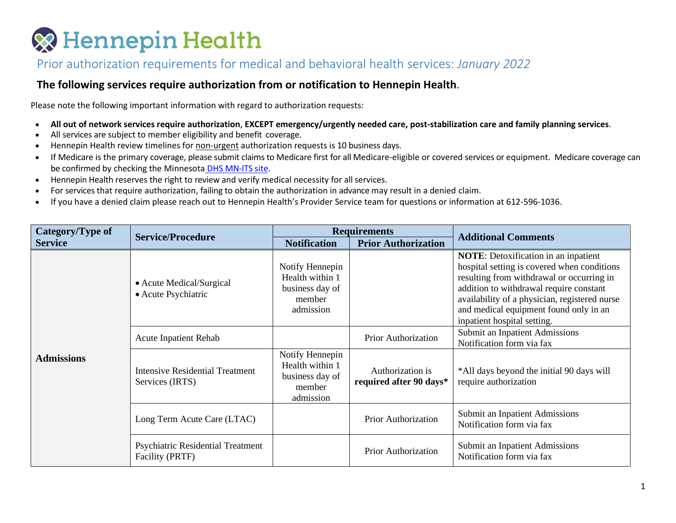### **& Hennepin Health**

#### Prior authorization requirements for medical and behavioral health services: *January 2022*

#### **The following services require authorization from or notification to Hennepin Health**.

Please note the following important information with regard to authorization requests:

- **All out of network services require authorization**, **EXCEPT emergency/urgently needed care, post-stabilization care and family planning services**.
- All services are subject to member eligibility and benefit coverage.
- Hennepin Health review timelines for non-urgent authorization requests is 10 business days.
- If Medicare is the primary coverage, please submit claims to Medicare first for all Medicare-eligible or covered services or equipment. Medicare coverage can be confirmed by checking the Minnesota [DHS MN-ITS site.](https://mn-its.dhs.state.mn.us/)
- Hennepin Health reserves the right to review and verify medical necessity for all services.
- For services that require authorization, failing to obtain the authorization in advance may result in a denied claim.
- If you have a denied claim please reach out to Hennepin Health's Provider Service team for questions or information at 612-596-1036.

| Category/Type of  | <b>Service/Procedure</b>                                  |                                                                              | <b>Requirements</b>                         | <b>Additional Comments</b>                                                                                                                                                                                                                                                                                   |
|-------------------|-----------------------------------------------------------|------------------------------------------------------------------------------|---------------------------------------------|--------------------------------------------------------------------------------------------------------------------------------------------------------------------------------------------------------------------------------------------------------------------------------------------------------------|
| <b>Service</b>    |                                                           | <b>Notification</b>                                                          | <b>Prior Authorization</b>                  |                                                                                                                                                                                                                                                                                                              |
| <b>Admissions</b> | • Acute Medical/Surgical<br>• Acute Psychiatric           | Notify Hennepin<br>Health within 1<br>business day of<br>member<br>admission |                                             | <b>NOTE:</b> Detoxification in an inpatient<br>hospital setting is covered when conditions<br>resulting from withdrawal or occurring in<br>addition to withdrawal require constant<br>availability of a physician, registered nurse<br>and medical equipment found only in an<br>inpatient hospital setting. |
|                   | <b>Acute Inpatient Rehab</b>                              |                                                                              | <b>Prior Authorization</b>                  | Submit an Inpatient Admissions<br>Notification form via fax                                                                                                                                                                                                                                                  |
|                   | <b>Intensive Residential Treatment</b><br>Services (IRTS) | Notify Hennepin<br>Health within 1<br>business day of<br>member<br>admission | Authorization is<br>required after 90 days* | *All days beyond the initial 90 days will<br>require authorization                                                                                                                                                                                                                                           |
|                   | Long Term Acute Care (LTAC)                               |                                                                              | Prior Authorization                         | Submit an Inpatient Admissions<br>Notification form via fax                                                                                                                                                                                                                                                  |
|                   | Psychiatric Residential Treatment<br>Facility (PRTF)      |                                                                              | Prior Authorization                         | Submit an Inpatient Admissions<br>Notification form via fax                                                                                                                                                                                                                                                  |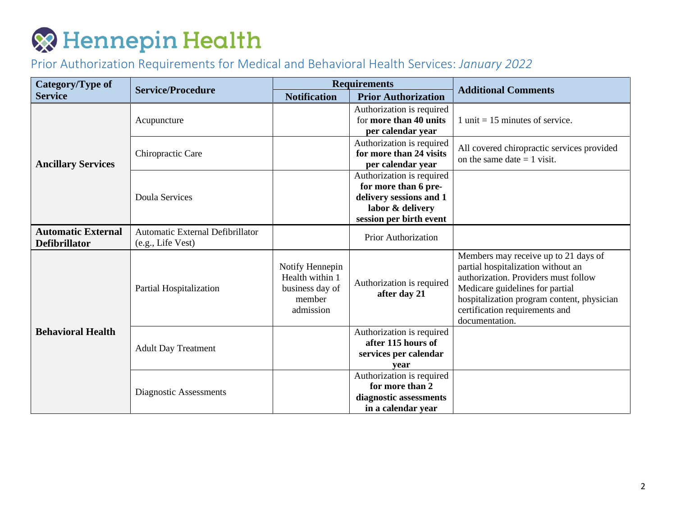| Category/Type of                                  |                                                       | <b>Requirements</b>                                                          |                                                                                                                             |                                                                                                                                                                                                                                                         |
|---------------------------------------------------|-------------------------------------------------------|------------------------------------------------------------------------------|-----------------------------------------------------------------------------------------------------------------------------|---------------------------------------------------------------------------------------------------------------------------------------------------------------------------------------------------------------------------------------------------------|
| <b>Service</b>                                    | <b>Service/Procedure</b>                              | <b>Notification</b>                                                          | <b>Prior Authorization</b>                                                                                                  | <b>Additional Comments</b>                                                                                                                                                                                                                              |
| <b>Ancillary Services</b>                         | Acupuncture                                           |                                                                              | Authorization is required<br>for more than 40 units<br>per calendar year                                                    | 1 unit = $15$ minutes of service.                                                                                                                                                                                                                       |
|                                                   | Chiropractic Care                                     |                                                                              | Authorization is required<br>for more than 24 visits<br>per calendar year                                                   | All covered chiropractic services provided<br>on the same date $= 1$ visit.                                                                                                                                                                             |
|                                                   | <b>Doula Services</b>                                 |                                                                              | Authorization is required<br>for more than 6 pre-<br>delivery sessions and 1<br>labor & delivery<br>session per birth event |                                                                                                                                                                                                                                                         |
| <b>Automatic External</b><br><b>Defibrillator</b> | Automatic External Defibrillator<br>(e.g., Life Vest) |                                                                              | <b>Prior Authorization</b>                                                                                                  |                                                                                                                                                                                                                                                         |
| <b>Behavioral Health</b>                          | Partial Hospitalization                               | Notify Hennepin<br>Health within 1<br>business day of<br>member<br>admission | Authorization is required<br>after day 21                                                                                   | Members may receive up to 21 days of<br>partial hospitalization without an<br>authorization. Providers must follow<br>Medicare guidelines for partial<br>hospitalization program content, physician<br>certification requirements and<br>documentation. |
|                                                   | <b>Adult Day Treatment</b>                            |                                                                              | Authorization is required<br>after 115 hours of<br>services per calendar<br>vear                                            |                                                                                                                                                                                                                                                         |
|                                                   | Diagnostic Assessments                                |                                                                              | Authorization is required<br>for more than 2<br>diagnostic assessments<br>in a calendar year                                |                                                                                                                                                                                                                                                         |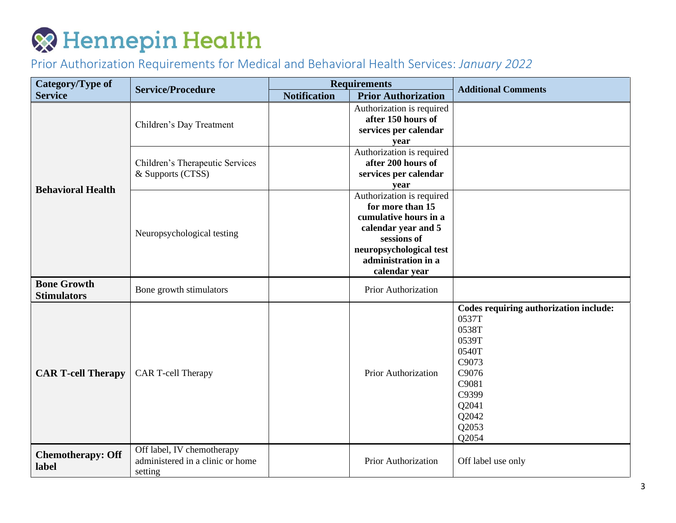| Category/Type of                         | <b>Service/Procedure</b>                                                  | <b>Requirements</b> |                                                                                                                                                                                 | <b>Additional Comments</b>                                                                                                                         |
|------------------------------------------|---------------------------------------------------------------------------|---------------------|---------------------------------------------------------------------------------------------------------------------------------------------------------------------------------|----------------------------------------------------------------------------------------------------------------------------------------------------|
| <b>Service</b>                           |                                                                           | <b>Notification</b> | <b>Prior Authorization</b>                                                                                                                                                      |                                                                                                                                                    |
| <b>Behavioral Health</b>                 | Children's Day Treatment                                                  |                     | Authorization is required<br>after 150 hours of<br>services per calendar<br>year                                                                                                |                                                                                                                                                    |
|                                          | Children's Therapeutic Services<br>& Supports (CTSS)                      |                     | Authorization is required<br>after 200 hours of<br>services per calendar<br>year                                                                                                |                                                                                                                                                    |
|                                          | Neuropsychological testing                                                |                     | Authorization is required<br>for more than 15<br>cumulative hours in a<br>calendar year and 5<br>sessions of<br>neuropsychological test<br>administration in a<br>calendar year |                                                                                                                                                    |
| <b>Bone Growth</b><br><b>Stimulators</b> | Bone growth stimulators                                                   |                     | Prior Authorization                                                                                                                                                             |                                                                                                                                                    |
| <b>CAR T-cell Therapy</b>                | CAR T-cell Therapy                                                        |                     | <b>Prior Authorization</b>                                                                                                                                                      | Codes requiring authorization include:<br>0537T<br>0538T<br>0539T<br>0540T<br>C9073<br>C9076<br>C9081<br>C9399<br>Q2041<br>Q2042<br>Q2053<br>Q2054 |
| <b>Chemotherapy: Off</b><br>label        | Off label, IV chemotherapy<br>administered in a clinic or home<br>setting |                     | Prior Authorization                                                                                                                                                             | Off label use only                                                                                                                                 |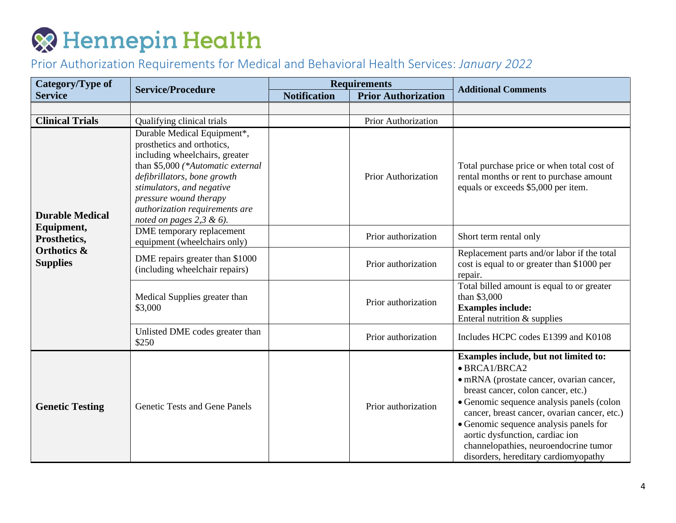| Category/Type of                                                                                  | <b>Service/Procedure</b>                                                                                                                                                                                                                                                                 | <b>Requirements</b> |                            | <b>Additional Comments</b>                                                                                                                                                                                                                                                                                                                                                                          |
|---------------------------------------------------------------------------------------------------|------------------------------------------------------------------------------------------------------------------------------------------------------------------------------------------------------------------------------------------------------------------------------------------|---------------------|----------------------------|-----------------------------------------------------------------------------------------------------------------------------------------------------------------------------------------------------------------------------------------------------------------------------------------------------------------------------------------------------------------------------------------------------|
| <b>Service</b>                                                                                    |                                                                                                                                                                                                                                                                                          | <b>Notification</b> | <b>Prior Authorization</b> |                                                                                                                                                                                                                                                                                                                                                                                                     |
|                                                                                                   |                                                                                                                                                                                                                                                                                          |                     |                            |                                                                                                                                                                                                                                                                                                                                                                                                     |
| <b>Clinical Trials</b>                                                                            | Qualifying clinical trials                                                                                                                                                                                                                                                               |                     | Prior Authorization        |                                                                                                                                                                                                                                                                                                                                                                                                     |
| <b>Durable Medical</b><br>Equipment,<br>Prosthetics,<br><b>Orthotics &amp;</b><br><b>Supplies</b> | Durable Medical Equipment*,<br>prosthetics and orthotics,<br>including wheelchairs, greater<br>than \$5,000 (*Automatic external<br>defibrillators, bone growth<br>stimulators, and negative<br>pressure wound therapy<br>authorization requirements are<br>noted on pages $2,3 \& 6$ ). |                     | <b>Prior Authorization</b> | Total purchase price or when total cost of<br>rental months or rent to purchase amount<br>equals or exceeds \$5,000 per item.                                                                                                                                                                                                                                                                       |
|                                                                                                   | DME temporary replacement<br>equipment (wheelchairs only)                                                                                                                                                                                                                                |                     | Prior authorization        | Short term rental only                                                                                                                                                                                                                                                                                                                                                                              |
|                                                                                                   | DME repairs greater than \$1000<br>(including wheelchair repairs)                                                                                                                                                                                                                        |                     | Prior authorization        | Replacement parts and/or labor if the total<br>cost is equal to or greater than \$1000 per<br>repair.                                                                                                                                                                                                                                                                                               |
|                                                                                                   | Medical Supplies greater than<br>\$3,000                                                                                                                                                                                                                                                 |                     | Prior authorization        | Total billed amount is equal to or greater<br>than \$3,000<br><b>Examples include:</b><br>Enteral nutrition & supplies                                                                                                                                                                                                                                                                              |
|                                                                                                   | Unlisted DME codes greater than<br>\$250                                                                                                                                                                                                                                                 |                     | Prior authorization        | Includes HCPC codes E1399 and K0108                                                                                                                                                                                                                                                                                                                                                                 |
| <b>Genetic Testing</b>                                                                            | <b>Genetic Tests and Gene Panels</b>                                                                                                                                                                                                                                                     |                     | Prior authorization        | Examples include, but not limited to:<br>· BRCA1/BRCA2<br>· mRNA (prostate cancer, ovarian cancer,<br>breast cancer, colon cancer, etc.)<br>• Genomic sequence analysis panels (colon<br>cancer, breast cancer, ovarian cancer, etc.)<br>• Genomic sequence analysis panels for<br>aortic dysfunction, cardiac ion<br>channelopathies, neuroendocrine tumor<br>disorders, hereditary cardiomyopathy |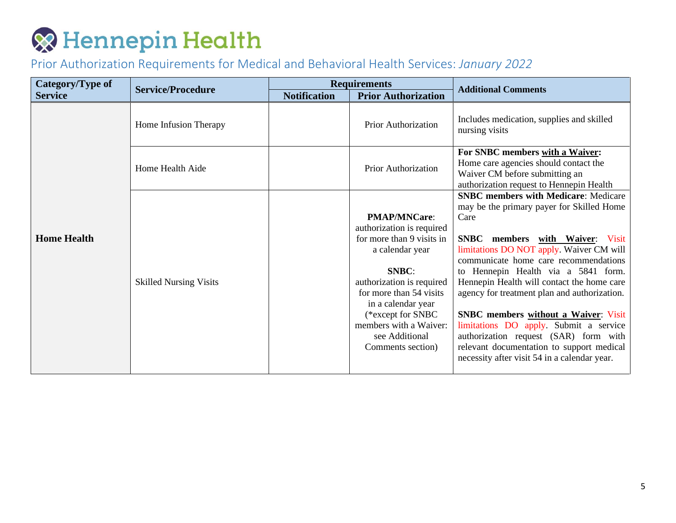| Category/Type of   |                               | <b>Requirements</b> |                                                                                                                                                                                                                                                                               |                                                                                                                                                                                                                                                                                                                                                                                                                                                                                                                                                                                              |
|--------------------|-------------------------------|---------------------|-------------------------------------------------------------------------------------------------------------------------------------------------------------------------------------------------------------------------------------------------------------------------------|----------------------------------------------------------------------------------------------------------------------------------------------------------------------------------------------------------------------------------------------------------------------------------------------------------------------------------------------------------------------------------------------------------------------------------------------------------------------------------------------------------------------------------------------------------------------------------------------|
| <b>Service</b>     | <b>Service/Procedure</b>      | <b>Notification</b> | <b>Prior Authorization</b>                                                                                                                                                                                                                                                    | <b>Additional Comments</b>                                                                                                                                                                                                                                                                                                                                                                                                                                                                                                                                                                   |
|                    | Home Infusion Therapy         |                     | Prior Authorization                                                                                                                                                                                                                                                           | Includes medication, supplies and skilled<br>nursing visits                                                                                                                                                                                                                                                                                                                                                                                                                                                                                                                                  |
|                    | Home Health Aide              |                     | Prior Authorization                                                                                                                                                                                                                                                           | For SNBC members with a Waiver:<br>Home care agencies should contact the<br>Waiver CM before submitting an<br>authorization request to Hennepin Health                                                                                                                                                                                                                                                                                                                                                                                                                                       |
| <b>Home Health</b> | <b>Skilled Nursing Visits</b> |                     | <b>PMAP/MNCare:</b><br>authorization is required<br>for more than 9 visits in<br>a calendar year<br>SNBC:<br>authorization is required<br>for more than 54 visits<br>in a calendar year<br>(*except for SNBC<br>members with a Waiver:<br>see Additional<br>Comments section) | <b>SNBC</b> members with Medicare: Medicare<br>may be the primary payer for Skilled Home<br>Care<br>SNBC members with Waiver: Visit<br>limitations DO NOT apply. Waiver CM will<br>communicate home care recommendations<br>to Hennepin Health via a 5841 form.<br>Hennepin Health will contact the home care<br>agency for treatment plan and authorization.<br><b>SNBC</b> members without a Waiver: Visit<br>limitations DO apply. Submit a service<br>authorization request (SAR) form with<br>relevant documentation to support medical<br>necessity after visit 54 in a calendar year. |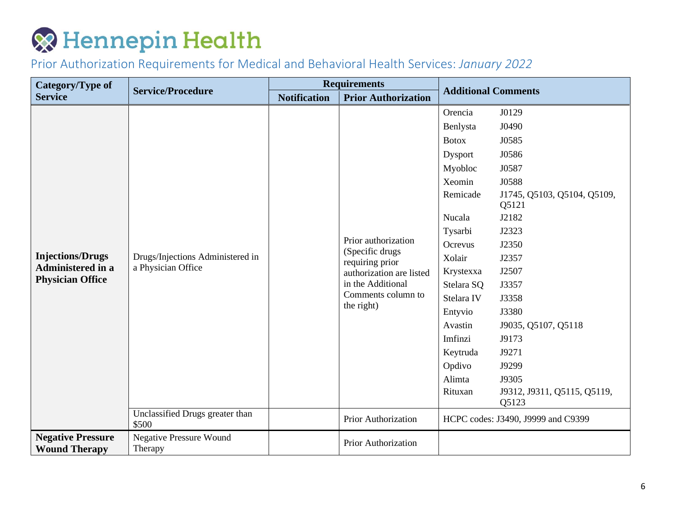| Category/Type of                                    | <b>Service/Procedure</b>                               | <b>Requirements</b> |                                                                                                                                                | <b>Additional Comments</b> |                                      |
|-----------------------------------------------------|--------------------------------------------------------|---------------------|------------------------------------------------------------------------------------------------------------------------------------------------|----------------------------|--------------------------------------|
| <b>Service</b>                                      |                                                        | <b>Notification</b> | <b>Prior Authorization</b>                                                                                                                     |                            |                                      |
|                                                     |                                                        |                     |                                                                                                                                                | Orencia                    | J0129                                |
|                                                     |                                                        |                     |                                                                                                                                                | Benlysta                   | J0490                                |
|                                                     |                                                        |                     |                                                                                                                                                | <b>Botox</b>               | J0585                                |
|                                                     |                                                        |                     |                                                                                                                                                | Dysport                    | J0586                                |
|                                                     |                                                        |                     |                                                                                                                                                | Myobloc                    | J0587                                |
|                                                     |                                                        |                     |                                                                                                                                                | Xeomin                     | J0588                                |
|                                                     | Drugs/Injections Administered in<br>a Physician Office |                     |                                                                                                                                                | Remicade                   | J1745, Q5103, Q5104, Q5109,<br>Q5121 |
|                                                     |                                                        |                     |                                                                                                                                                | Nucala                     | J2182                                |
| <b>Injections/Drugs</b>                             |                                                        |                     | Prior authorization<br>(Specific drugs<br>requiring prior<br>authorization are listed<br>in the Additional<br>Comments column to<br>the right) | Tysarbi                    | J2323                                |
|                                                     |                                                        |                     |                                                                                                                                                | Ocrevus                    | J2350                                |
|                                                     |                                                        |                     |                                                                                                                                                | Xolair                     | J2357                                |
| <b>Administered in a</b><br><b>Physician Office</b> |                                                        |                     |                                                                                                                                                | Krystexxa                  | J2507                                |
|                                                     |                                                        |                     |                                                                                                                                                | Stelara SQ                 | J3357                                |
|                                                     |                                                        |                     |                                                                                                                                                | Stelara IV                 | J3358                                |
|                                                     |                                                        |                     |                                                                                                                                                | Entyvio                    | J3380                                |
|                                                     |                                                        |                     |                                                                                                                                                | Avastin                    | J9035, Q5107, Q5118                  |
|                                                     |                                                        |                     |                                                                                                                                                | Imfinzi                    | J9173                                |
|                                                     |                                                        |                     |                                                                                                                                                | Keytruda                   | J9271                                |
|                                                     |                                                        |                     |                                                                                                                                                | Opdivo                     | J9299                                |
|                                                     |                                                        |                     |                                                                                                                                                | Alimta                     | J9305                                |
|                                                     |                                                        |                     |                                                                                                                                                | Rituxan                    | J9312, J9311, Q5115, Q5119,<br>Q5123 |
|                                                     | Unclassified Drugs greater than<br>\$500               |                     | HCPC codes: J3490, J9999 and C9399<br>Prior Authorization                                                                                      |                            |                                      |
| <b>Negative Pressure</b><br><b>Wound Therapy</b>    | <b>Negative Pressure Wound</b><br>Therapy              |                     | Prior Authorization                                                                                                                            |                            |                                      |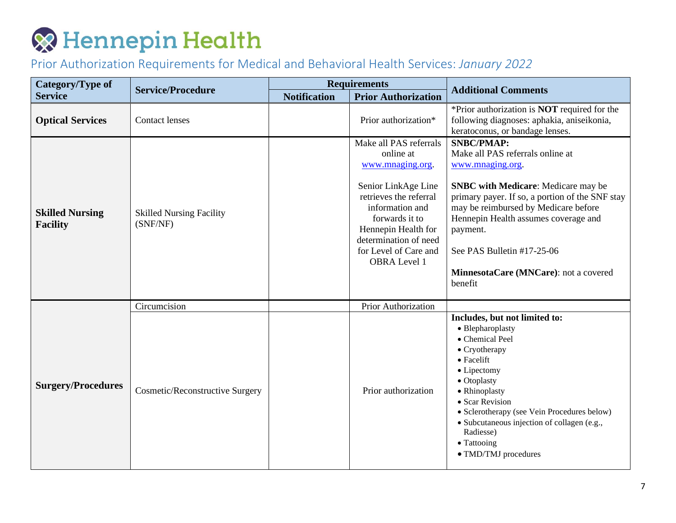| Category/Type of                          | <b>Service/Procedure</b>                    | <b>Requirements</b> |                                                                                                                                                                                                                                               | <b>Additional Comments</b>                                                                                                                                                                                                                                                                                                                               |
|-------------------------------------------|---------------------------------------------|---------------------|-----------------------------------------------------------------------------------------------------------------------------------------------------------------------------------------------------------------------------------------------|----------------------------------------------------------------------------------------------------------------------------------------------------------------------------------------------------------------------------------------------------------------------------------------------------------------------------------------------------------|
| <b>Service</b>                            |                                             | <b>Notification</b> | <b>Prior Authorization</b>                                                                                                                                                                                                                    |                                                                                                                                                                                                                                                                                                                                                          |
| <b>Optical Services</b>                   | <b>Contact lenses</b>                       |                     | Prior authorization*                                                                                                                                                                                                                          | *Prior authorization is <b>NOT</b> required for the<br>following diagnoses: aphakia, aniseikonia,<br>keratoconus, or bandage lenses.                                                                                                                                                                                                                     |
| <b>Skilled Nursing</b><br><b>Facility</b> | <b>Skilled Nursing Facility</b><br>(SNF/NF) |                     | Make all PAS referrals<br>online at<br>www.mnaging.org.<br>Senior LinkAge Line<br>retrieves the referral<br>information and<br>forwards it to<br>Hennepin Health for<br>determination of need<br>for Level of Care and<br><b>OBRA</b> Level 1 | <b>SNBC/PMAP:</b><br>Make all PAS referrals online at<br>www.mnaging.org.<br><b>SNBC</b> with Medicare: Medicare may be<br>primary payer. If so, a portion of the SNF stay<br>may be reimbursed by Medicare before<br>Hennepin Health assumes coverage and<br>payment.<br>See PAS Bulletin #17-25-06<br>MinnesotaCare (MNCare): not a covered<br>benefit |
|                                           | Circumcision                                |                     | <b>Prior Authorization</b>                                                                                                                                                                                                                    |                                                                                                                                                                                                                                                                                                                                                          |
| <b>Surgery/Procedures</b>                 | <b>Cosmetic/Reconstructive Surgery</b>      |                     | Prior authorization                                                                                                                                                                                                                           | Includes, but not limited to:<br>• Blepharoplasty<br>• Chemical Peel<br>$\bullet$ Cryotherapy<br>$\bullet$ Facelift<br>• Lipectomy<br>• Otoplasty<br>• Rhinoplasty<br>• Scar Revision<br>• Sclerotherapy (see Vein Procedures below)<br>• Subcutaneous injection of collagen (e.g.,<br>Radiesse)<br>• Tattooing<br>• TMD/TMJ procedures                  |